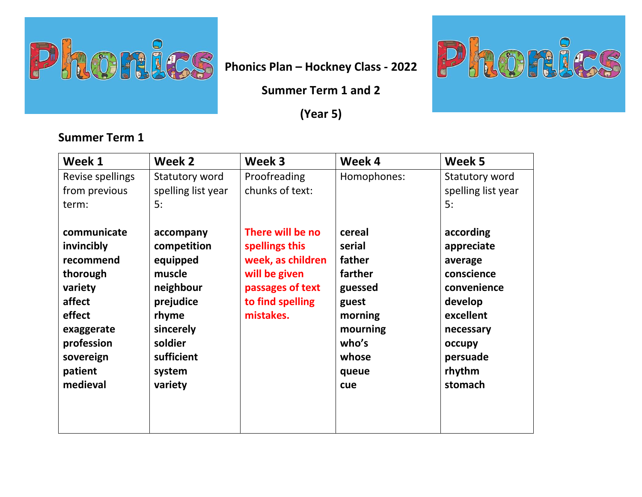

**Summer Term 1 and 2** 

**(Year 5)** 



| Week 1                                                                                                                                            | Week 2                                                                                                                                       | Week 3                                                                                                                        | Week 4                                                                                                             | Week 5                                                                                                                                          |
|---------------------------------------------------------------------------------------------------------------------------------------------------|----------------------------------------------------------------------------------------------------------------------------------------------|-------------------------------------------------------------------------------------------------------------------------------|--------------------------------------------------------------------------------------------------------------------|-------------------------------------------------------------------------------------------------------------------------------------------------|
| Revise spellings<br>from previous<br>term:                                                                                                        | Statutory word<br>spelling list year<br>5:                                                                                                   | Proofreading<br>chunks of text:                                                                                               | Homophones:                                                                                                        | Statutory word<br>spelling list year<br>5:                                                                                                      |
| communicate<br>invincibly<br>recommend<br>thorough<br>variety<br>affect<br>effect<br>exaggerate<br>profession<br>sovereign<br>patient<br>medieval | accompany<br>competition<br>equipped<br>muscle<br>neighbour<br>prejudice<br>rhyme<br>sincerely<br>soldier<br>sufficient<br>system<br>variety | There will be no<br>spellings this<br>week, as children<br>will be given<br>passages of text<br>to find spelling<br>mistakes. | cereal<br>serial<br>father<br>farther<br>guessed<br>guest<br>morning<br>mourning<br>who's<br>whose<br>queue<br>cue | according<br>appreciate<br>average<br>conscience<br>convenience<br>develop<br>excellent<br>necessary<br>occupy<br>persuade<br>rhythm<br>stomach |